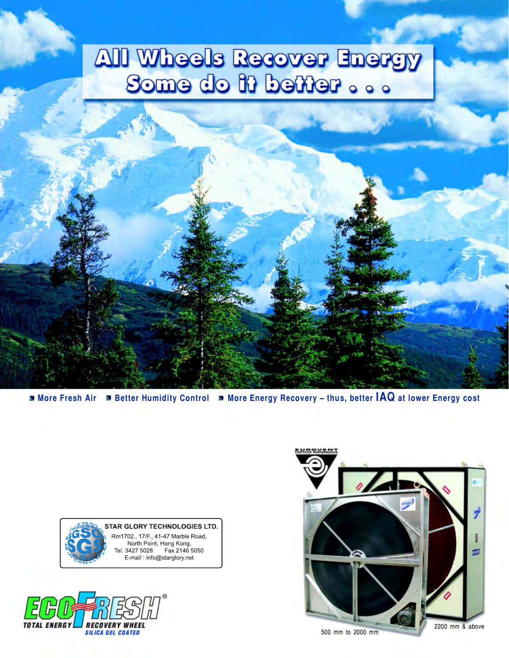# **All Wheels Recover Energy** Some do 10 better ...



 $\blacksquare$  **More Fresh Air**  $\blacksquare$  Better Humidity Control  $\blacksquare$  More Energy Recovery – thus, better  $\blacktriangleleft$ Q at lower Energy cost





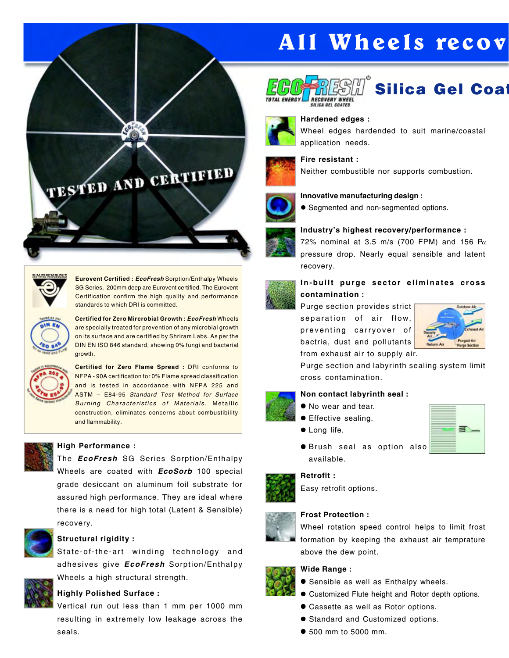# **All Wheels recov**



# Silica Gel Coat ®



**Hardened edges :** Wheel edges hardended to suit marine/coastal application needs.



**Fire resistant :** Neither combustible nor supports combustion.

### **Innovative manufacturing design :**



• Segmented and non-segmented options.

### **Industry's highest recovery/performance :**

72% nominal at 3.5 m/s (700 FPM) and 156 P*a* pressure drop. Nearly equal sensible and latent recovery.



### **In-built purge sector eliminates cross contamination :**

Purge section provides strict separation of air flow, preventing carryover of bactria, dust and pollutants from exhaust air to supply air.



三

Purge section and labyrinth sealing system limit cross contamination.

### **Non contact labyrinth seal :**

- No wear and tear.
- $\bullet$  Effective sealing.
- $\bullet$  Long life.
- **•** Brush seal as option also available.

#### **Retrofit :**

Easy retrofit options.

# **Frost Protection :**

Wheel rotation speed control helps to limit frost formation by keeping the exhaust air temprature above the dew point.

### **Wide Range :**

- **•** Sensible as well as Enthalpy wheels.
- $\bullet$  Customized Flute height and Rotor depth options.
- $\bullet$  Cassette as well as Rotor options.
- Standard and Customized options.
- 500 mm to 5000 mm.





**Eurovent Certified :** *EcoFresh* Sorption/Enthalpy Wheels SG Series, 200mm deep are Eurovent certified. The Eurovent Certification confirm the high quality and performance standards to which DRI is committed.

**Certified for Zero Mircrobial Growth :** *EcoFresh* Wheels are specially treated for prevention of any microbial growth on its surface and are certified by Shriram Labs. As per the DIN EN ISO 846 standard, showing 0% fungi and bacterial growth.



**Certified for Zero Flame Spread :** DRI conforms to NFPA - 90A certification for 0% Flame spread classification and is tested in accordance with NFPA 225 and ASTM – E84-95 *Standard Test Method for Surface Burning Characteristics of Materials.* Metallic construction, eliminates concerns about combustibility and flammability.



#### **High Performance :**

The *EcoFresh* SG Series Sorption/Enthalpy Wheels are coated with *EcoSorb* 100 special grade desiccant on aluminum foil substrate for assured high performance. They are ideal where there is a need for high total (Latent & Sensible) recovery.



### **Structural rigidity :**

State-of-the-art winding technology and adhesives give *EcoFresh* Sorption/Enthalpy Wheels a high structural strength.



## **Highly Polished Surface :**

Vertical run out less than 1 mm per 1000 mm resulting in extremely low leakage across the seals.













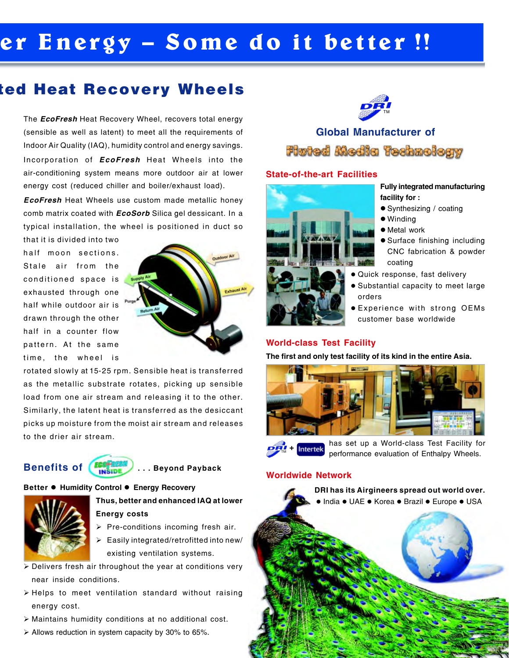# **er Energy – Some do it better !!**

# ted Heat Recovery Wheels

The *EcoFresh* Heat Recovery Wheel, recovers total energy (sensible as well as latent) to meet all the requirements of Indoor Air Quality (IAQ), humidity control and energy savings. Incorporation of *EcoFresh* Heat Wheels into the air-conditioning system means more outdoor air at lower energy cost (reduced chiller and boiler/exhaust load).

*EcoFresh* Heat Wheels use custom made metallic honey comb matrix coated with *EcoSorb* Silica gel dessicant. In a typical installation, the wheel is positioned in duct so

that it is divided into two half moon sections. Stale air from the conditioned space is exhausted through one half while outdoor air is drawn through the other half in a counter flow pattern. At the same time, the wheel is



rotated slowly at 15-25 rpm. Sensible heat is transferred as the metallic substrate rotates, picking up sensible load from one air stream and releasing it to the other. Similarly, the latent heat is transferred as the desiccant picks up moisture from the moist air stream and releases to the drier air stream.





## **Better ● Humidity Control ● Energy Recovery**



## **Thus, better and enhanced IAQ at lower Energy costs**

- $\triangleright$  Pre-conditions incoming fresh air.
- $\triangleright$  Easily integrated/retrofitted into new/ existing ventilation systems.
- ¾ Delivers fresh air throughout the year at conditions very near inside conditions.
- ¾ Helps to meet ventilation standard without raising energy cost.
- ¾ Maintains humidity conditions at no additional cost.
- $\triangleright$  Allows reduction in system capacity by 30% to 65%.



# **Global Manufacturer of** Fluted Media Technology

### **State-of-the-art Facilities**



### **Fully integrated manufacturing facility for :**

- Synthesizing / coating
- $\bullet$  Winding
	- $\bullet$  Metal work
	- Surface finishing including CNC fabrication & powder coating
- · Quick response, fast delivery
- **Substantial capacity to meet large** orders
- **Experience with strong OEMs** customer base worldwide

# **World-class Test Facility**

**The first and only test facility of its kind in the entire Asia.**



**+** TM

has set up a World-class Test Facility for performance evaluation of Enthalpy Wheels.

### **Worldwide Network**

**DRI has its Airgineers spread out world over.** • India • UAE • Korea • Brazil • Europe • USA